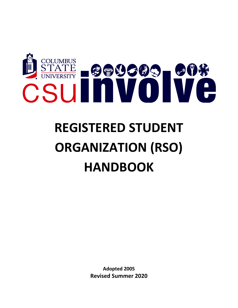

# **REGISTERED STUDENT ORGANIZATION (RSO) HANDBOOK**

**Adopted 2005 Revised Summer 2020**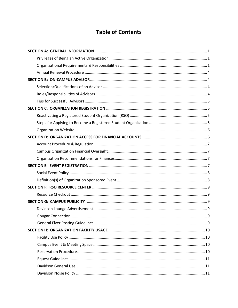# **Table of Contents**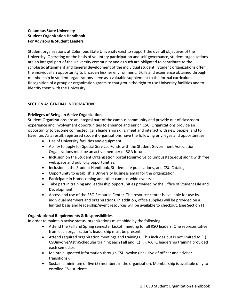## **Columbus State University Student Organization Handbook For Advisors & Student Leaders**

Student organizations at Columbus State University exist to support the overall objectives of the University. Operating on the basis of voluntary participation and self-governance, student organizations are an integral part of the University community and as such are obligated to contribute to the scholastic attainment and general development of the individual student. Student organizations offer the individual an opportunity to broaden his/her environment. Skills and experience obtained through membership in student organizations serve as a valuable supplement to the formal curriculum. Recognition of a group or organization grants to that group the right to use University facilities and to identify them with the University.

## <span id="page-3-0"></span>**SECTION A: GENERAL INFORMATION**

## <span id="page-3-1"></span>**Privileges of Being an Active Organization**

Student Organizations are an integral part of the campus community and provide out of classroom experience and involvement opportunities to enhance and enrich CSU. Organizations provide an opportunity to become connected, gain leadership skills, meet and interact with new people, and to have fun. As a result, registered student organizations have the following privileges and opportunities:

- Use of University facilities and equipment.
- Ability to apply for Special Services Funds with the Student Government Association. Organizations must be an active member of SGA forum.
- Inclusion on the Student Organization portal (csuinvolve.columbusstate.edu) along with free webspace and publicity opportunities.
- Inclusion in the Student Handbook, Student Life publications, and CSU Catalog.
- Opportunity to establish a University business email for the organization.
- Participate in Homecoming and other campus-wide events.
- Take part in training and leadership opportunities provided by the Office of Student Life and Development.
- Access and use of the RSO Resource Center. The resource center is available for use by individual members and organizations. In addition, office supplies will be provided on a limited basis and leadership/event resources will be available to checkout. (see Section F)

### <span id="page-3-2"></span>**Organizational Requirements & Responsibilities**

In order to maintain active status, organizations must abide by the following:

- Attend the Fall and Spring semester kickoff meeting for all RSO leaders. One representative from each organization's leadership must be present.
- Attend required organization meetings and trainings. This includes but is not limited to (1) CSUinvolve/AstraScheduler training each Fall and (1) T.R.A.C.K. leadership training provided each semester.
- Maintain updated information through CSUinvolve (inclusive of officer and advisor transitions).
- Sustain a minimum of five (5) members in the organization. Membership is available only to enrolled CSU students.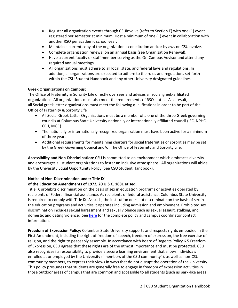- Register all organization events through CSUinvolve (refer to Section E) with one (1) event registered per semester at minimum. Host a minimum of one (1) event in collaboration with another RSO per academic school year.
- Maintain a current copy of the organization's constitution and/or bylaws on CSUinvolve.
- Complete organization renewal on an annual basis (see Organization Renewal).
- Have a current faculty or staff member serving as the On-Campus Advisor and attend any required annual meetings.
- All organizations must adhere to all local, state, and federal laws and regulations. In addition, all organizations are expected to adhere to the rules and regulations set forth within the CSU Student Handbook and any other University designated guidelines.

## **Greek Organizations on Campus:**

The Office of Fraternity & Sorority Life directly oversees and advises all social greek-affiliated organizations. All organizations must also meet the requirements of RSO status. As a result, all Social greek letter organizations must meet the following qualifications in order to be part of the Office of Fraternity & Sorority Life

- All Social Greek Letter Organizations must be a member of a one of the three Greek governing councils at Columbus State University nationally or internationally affiliated council (IFC, NPHC, CPH, MGC)
- The nationally or internationally recognized organization must have been active for a minimum of three years
- Additional requirements for maintaining charters for social fraternities or sororities may be set by the Greek Governing Council and/or The Office of Fraternity and Sorority Life.

**Accessibility and Non-Discrimination**: CSU is committed to an environment which embraces diversity and encourages all student organizations to foster an inclusive atmosphere. All organizations will abide by the University Equal Opportunity Policy (See CSU Student Handbook).

## **Notice of Non-Discrimination under Title IX**

## **of the Education Amendments of 1972, 20 U.S.C. 1681 et seq.**

Title IX prohibits discrimination on the basis of sex in education programs or activities operated by recipients of Federal financial assistance. As recipients of federal assistance, Columbus State University is required to comply with Title IX. As such, the institution does not discriminate on the basis of sex in the education programs and activities it operates including admission and employment. Prohibited sex discrimination includes sexual harassment and sexual violence such as sexual assault, stalking, and domestic and dating violence. See [here](https://sa.columbusstate.edu/docs/Notice_NonDiscrimination_5.27.20.pdf) for the complete policy and campus coordinator contact information.

**Freedom of Expression Policy:** Columbus State University supports and respects rights embodied in the First Amendment, including the right of freedom of speech, freedom of expression, the free exercise of religion, and the right to peaceably assemble. In accordance with Board of Regents Policy 6.5 Freedom of Expression, CSU agrees that these rights are of the utmost importance and must be protected. CSU also recognizes its responsibility to provide a secure learning environment that allows individuals enrolled at or employed by the University ("members of the CSU community"), as well as non-CSU community members, to express their views in ways that do not disrupt the operation of the University. This policy presumes that students are generally free to engage in freedom of expression activities in those outdoor areas of campus that are common and accessible to all students (such as park-like areas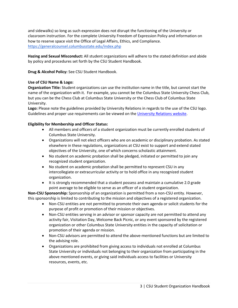and sidewalks) so long as such expression does not disrupt the functioning of the University or classroom instruction. For the complete University Freedom of Expression Policy and information on how to reserve space visit the Office of Legal Affairs, Ethics, and Compliance. <https://generalcounsel.columbusstate.edu/index.php>

**Hazing and Sexual Misconduct:** All student organizations will adhere to the stated definition and abide by policy and procedures set forth by the CSU Student Handbook.

**Drug & Alcohol Policy:** See CSU Student Handbook.

## **Use of CSU Name & Logo:**

**Organization Title:** Student organizations can use the institution name in the title, but cannot start the name of the organization with it. For example, you cannot be the Columbus State University Chess Club, but you can be the Chess Club at Columbus State University or the Chess Club of Columbus State University.

**Logo:** Please note the guidelines provided by University Relations in regards to the use of the CSU logo. Guidelines and proper use requirements can be viewed on the [University Relations website.](http://ur.columbusstate.edu/logos/)

## **Eligibility for Membership and Officer Status:**

- All members and officers of a student organization must be currently enrolled students of Columbus State University.
- Organizations will not elect officers who are on academic or disciplinary probation. As stated elsewhere in these regulations, organizations at CSU exist to support and extend stated objectives of the University, one of which concerns scholastic attainment.
- No student on academic probation shall be pledged, initiated or permitted to join any recognized student organization.
- No student on academic probation shall be permitted to represent CSU in any intercollegiate or extracurricular activity or to hold office in any recognized student organization.
- It is strongly recommended that a student possess and maintain a cumulative 2.0 grade point average to be eligible to serve as an officer of a student organization.

**Non-CSU Sponsorship:** Sponsorship of an organization is permitted from a non-CSU entity. However, this sponsorship is limited to contributing to the mission and objectives of a registered organization.

- Non-CSU entities are not permitted to promote their own agenda or solicit students for the purpose of profit or promotion of their mission or objectives.
- Non-CSU entities serving in an advisor or sponsor capacity are not permitted to attend any activity fair, Visitation Day, Welcome Back Picnic, or any event sponsored by the registered organization or other Columbus State University entities in the capacity of solicitation or promotion of their agenda or mission.
- Non-CSU advisors are permitted to attend the above-mentioned functions but are limited to the advising role.
- Organizations are prohibited from giving access to individuals not enrolled at Columbus State University or individuals not belonging to their organization from participating in the above mentioned events, or giving said individuals access to facilities or University resources, events, etc.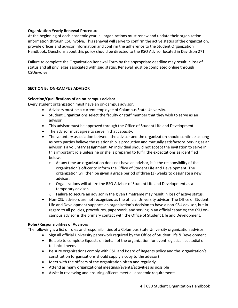## **Organization Yearly Renewal Procedure**

At the beginning of each academic year, all organizations must renew and update their organization information through CSUinvolve. This renewal will serve to confirm the active status of the organization, provide officer and advisor information and confirm the adherence to the Student Organization Handbook. Questions about this policy should be directed to the RSO Advisor located in Davidson 271.

Failure to complete the Organization Renewal Form by the appropriate deadline may result in loss of status and all privileges associated with said status. Renewal must be completed online through CSUinvolve.

## <span id="page-6-0"></span>**SECTION B: ON-CAMPUS ADVISOR**

### <span id="page-6-1"></span>**Selection/Qualifications of an on-campus advisor**

Every student organization must have an on-campus advisor.

- Advisors must be a current employee of Columbus State University.
- Student Organizations select the faculty or staff member that they wish to serve as an advisor.
- This advisor must be approved through the Office of Student Life and Development.
- The advisor must agree to serve in that capacity.
- The voluntary association between the advisor and the organization should continue as long as both parties believe the relationship is productive and mutually satisfactory. Serving as an advisor is a voluntary assignment. An individual should not accept the invitation to serve in this important role unless he or she is prepared to fulfill the expectations as identified below.
	- $\circ$  At any time an organization does not have an advisor, it is the responsibility of the organization's officer to inform the Office of Student Life and Development. The organization will then be given a grace period of three (3) weeks to designate a new advisor.
	- o Organizations will utilize the RSO Advisor of Student Life and Development as a temporary advisor.
	- $\circ$  Failure to secure an advisor in the given timeframe may result in loss of active status.
- Non-CSU advisors are not recognized as the official University advisor. The Office of Student Life and Development supports an organization's decision to have a non-CSU advisor, but in regard to all policies, procedures, paperwork, and serving in an official capacity; the CSU oncampus advisor is the primary contact with the Office of Student Life and Development.

### <span id="page-6-2"></span>**Roles/Responsibilities of Advisors**

The following is a list of roles and responsibilities of a Columbus State University organization advisor:

- Sign all official University paperwork required by the Office of Student Life & Development
- Be able to complete Equests on behalf of the organization for event logistical, custodial or technical needs
- Be sure organizations comply with CSU and Board of Regents policy and the organization's constitution (organizations should supply a copy to the advisor)
- Meet with the officers of the organization often and regularly
- Attend as many organizational meetings/events/activities as possible
- Assist in reviewing and ensuring officers meet all academic requirements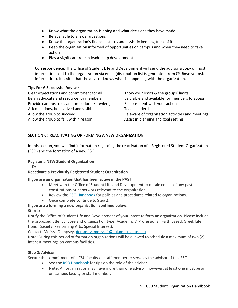- Know what the organization is doing and what decisions they have made
- Be available to answer questions
- Know the organization's financial status and assist in keeping track of it
- Keep the organization informed of opportunities on campus and when they need to take action
- Play a significant role in leadership development

**Correspondence**: The Office of Student Life and Development will send the advisor a copy of most information sent to the organization via email (distribution list is generated from CSUinvolve roster information). It is vital that the advisor knows what is happening with the organization.

## **Tips For A Successful Advisor**

Clear expectations and commitment for all Be an advocate and resource for members Provide campus rules and procedural knowledge Ask questions, be involved and visible Allow the group to succeed Allow the group to fail, within reason

Know your limits & the groups' limits Be visible and available for members to access Be consistent with your actions Teach leadership Be aware of organization activities and meetings Assist in planning and goal setting

## <span id="page-7-0"></span>**SECTION C: REACTIVATING OR FORMING A NEW ORGANIZATION**

In this section, you will find information regarding the reactivation of a Registered Student Organization (RSO) and the formation of a new RSO.

## **Register a NEW Student Organization**

 **Or**

**Reactivate a Previously Registered Student Organization**

### **If you are an organization that has been active in the PAST:**

- Meet with the Office of Student Life and Development to obtain copies of any past constitutions or paperwork relevant to the organization.
- Review the [RSO Handbook](http://students.columbusstate.edu/student-orgs/index.php) for policies and procedures related to organizations.
- Once complete continue to Step 2.

## **If you are a forming a new organization continue below:**

### **Step 1:**

Notify the Office of Student Life and Development of your intent to form an organization. Please include the proposed title, purpose and organization type (Academic & Professional, Faith Based, Greek Life, Honor Society, Performing Arts, Special Interest).

Contact: Melissa Dempsey, [dempsey\\_melissa1@columbusstate.edu](mailto:dempsey_melissa1@columbusstate.edu)

Note: During this period of formation organizations will be allowed to schedule a maximum of two (2) interest meetings on-campus facilities.

## **Step 2: Advisor**

Secure the commitment of a CSU faculty or staff member to serve as the advisor of this RSO.

- See the [RSO Handbook](http://students.columbusstate.edu/student-orgs/index.php) for tips on the role of the advisor.
- **Note:** An organization may have more than one advisor; however, at least one must be an on campus faculty or staff member.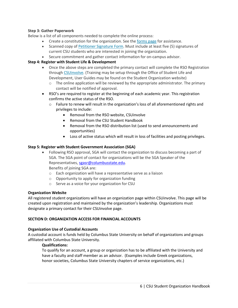## **Step 3: Gather Paperwork**

Below is a list of all components needed to complete the online process:

- Create a constitution for the organization. See the [forms page](http://students.columbusstate.edu/new-organization.php) for assistance.
- Scanned copy of [Petitioner Signature Form.](http://students.columbusstate.edu/new-organization.php) Must include at least five (5) signatures of current CSU students who are interested in joining the organization.
- Secure commitment and gather contact information for on-campus advisor.

## **Step 4: Register with Student Life & Development**

- Once the above steps are completed the primary contact will complete the RSO Registration through [CSUinvolve.](https://columbusstate.collegiatelink.net/) (Training may be setup through the Office of Student Life and Development, User Guides may be found on the Student Organization website)
	- $\circ$  The online application will be reviewed by the appropriate administrator. The primary contact will be notified of approval.
- RSO's are required to register at the beginning of each academic year. This registration confirms the active status of the RSO.
	- $\circ$  Failure to renew will result in the organization's loss of all aforementioned rights and privileges to include:
		- Removal from the RSO website, CSUinvolve
		- Removal from the CSU Student Handbook
		- Removal from the RSO distribution list (used to send announcements and opportunities)
		- Loss of active status which will result in loss of facilities and posting privileges.

## **Step 5: Register with Student Government Association (SGA)**

• Following RSO approval, SGA will contact the organization to discuss becoming a part of SGA. The SGA point of contact for organizations will be the SGA Speaker of the Representatives, [sgasr@columbusstate.edu.](mailto:sgasr@columbusstate.edu) Benefits of joining SGA are:

- o Each organization will have a representative serve as a liaison
- <span id="page-8-0"></span>o Opportunity to apply for organization funding
- o Serve as a voice for your organization for CSU

### **Organization Website**

All registered student organizations will have an organization page within CSUinvolve. This page will be created upon registration and maintained by the organization's leadership. Organizations must designate a primary contact for their CSUinvolve page.

### **SECTION D: ORGANIZATION ACCESS FOR FINANCIAL ACCOUNTS**

### **Organization Use of Custodial Accounts**

A custodial account is funds held by Columbus State University on behalf of organizations and groups affiliated with Columbus State University.

### **Qualifications:**

To qualify for an account, a group or organization has to be affiliated with the University and have a faculty and staff member as an advisor. (Examples include Greek organizations, honor societies, Columbus State University chapters of service organizations, etc.)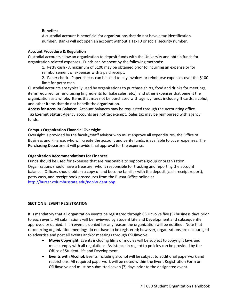## **Benefits:**

A custodial account is beneficial for organizations that do not have a tax identification number. Banks will not open an account without a Tax ID or social security number.

## **Account Procedure & Regulation**

Custodial accounts allow an organization to deposit funds with the University and obtain funds for organization related expenses. Funds can be spent by the following methods:

1. Petty cash - A maximum of \$100 may be obtained prior to incurring an expense or for reimbursement of expenses with a paid receipt.

2. Paper check - Paper checks can be used to pay invoices or reimburse expenses over the \$100 limit for petty cash.

Custodial accounts are typically used by organizations to purchase shirts, food and drinks for meetings, items required for fundraising (ingredients for bake sales, etc.), and other expenses that benefit the organization as a whole. Items that may not be purchased with agency funds include gift cards, alcohol, and other items that do not benefit the organization.

**Access for Account Balance:** Account balances may be requested through the Accounting office. **Tax Exempt Status:** Agency accounts are not tax exempt. Sales tax may be reimbursed with agency funds.

## **Campus Organization Financial Oversight**

Oversight is provided by the faculty/staff advisor who must approve all expenditures, the Office of Business and Finance, who will create the account and verify funds, is available to cover expenses. The Purchasing Department will provide final approval for the expense.

## **Organization Recommendations for Finances**

Funds should be used for expenses that are reasonable to support a group or organization. Organizations should have a treasurer who is responsible for tracking and reporting the account balance. Officers should obtain a copy of and become familiar with the deposit (cash receipt report), petty cash, and receipt book procedures from the Bursar Office online at [http://bursar.columbusstate.edu/nonStudent.php.](http://bursar.columbusstate.edu/nonStudent.php)

## **SECTION E: EVENT REGISTRATION**

It is mandatory that all organization events be registered through CSUinvolve five (5) business days prior to each event. All submissions will be reviewed by Student Life and Development and subsequently approved or denied. If an event is denied for any reason the organization will be notified. Note that reoccurring organization meetings do not have to be registered; however, organizations are encouraged to advertise and post all events and/or meetings through CSUinvolve.

- **Movie Copyright:** Events including films or movies will be subject to copyright laws and must comply with all regulations. Assistance in regard to policies can be provided by the Office of Student Life and Development.
- **Events with Alcohol:** Events including alcohol will be subject to additional paperwork and restrictions. All required paperwork will be noted within the Event Registration Form on CSUinvolve and must be submitted seven (7) days prior to the designated event.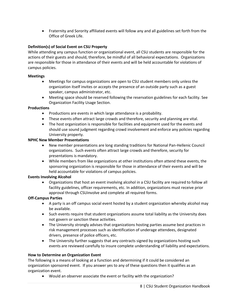• Fraternity and Sorority affiliated events will follow any and all guidelines set forth from the Office of Greek Life.

## <span id="page-10-0"></span>**Definition(s) of Social Event on CSU Property**

While attending any campus function or organizational event, all CSU students are responsible for the actions of their guests and should, therefore, be mindful of all behavioral expectations. Organizations are responsible for those in attendance of their events and will be held accountable for violations of campus policies.

## **Meetings**

- Meetings for campus organizations are open to CSU student members only unless the organization itself invites or accepts the presence of an outside party such as a guest speaker, campus administrator, etc.
- Meeting space should be reserved following the reservation guidelines for each facility. See Organization Facility Usage Section.

## **Productions**

- Productions are events in which large attendance is a probability.
- These events often attract large crowds and therefore, security and planning are vital.
- The host organization is responsible for facilities and equipment used for the events and should use sound judgment regarding crowd involvement and enforce any policies regarding University property.

## **NPHC New Member Presentations**

- New member presentations are long standing traditions for National Pan-Hellenic Council organizations. Such events often attract large crowds and therefore, security for presentations is mandatory.
- While members from like organizations at other institutions often attend these events, the sponsoring organization is responsible for those in attendance of their events and will be held accountable for violations of campus policies.

## **Events Involving Alcohol**

• Organizations that host an event involving alcohol in a CSU facility are required to follow all facility guidelines, officer requirements, etc. In addition, organizations must receive prior approval through CSUinvolve and complete all required forms.

### **Off-Campus Parties**

- A party is an off campus social event hosted by a student organization whereby alcohol may be available.
- Such events require that student organizations assume total liability as the University does not govern or sanction these activities.
- The University strongly advises that organizations hosting parties assume best practices in risk management processes such as identification of underage attendees, designated drivers, presence of police officers, etc.
- The University further suggests that any contracts signed by organizations hosting such events are reviewed carefully to insure complete understanding of liability and expectations.

### **How to Determine an Organization Event**

The following is a means of looking at a function and determining if it could be considered an organization sponsored event. If you answer yes to any of these questions then it qualifies as an organization event.

• Would an observer associate the event or facility with the organization?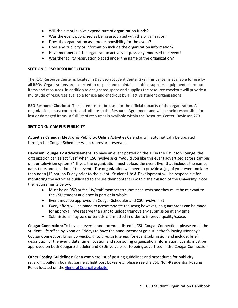- Will the event involve expenditure of organization funds?
- Was the event publicized as being associated with the organization?
- Does the organization assume responsibility for the event?
- Does any publicity or information include the organization information?
- Have members of the organization actively or passively endorsed the event?
- Was the facility reservation placed under the name of the organization?

## **SECTION F: RSO RESOURCE CENTER**

The RSO Resource Center is located in Davidson Student Center 279. This center is available for use by all RSOs. Organizations are expected to respect and maintain all office supplies, equipment, checkout items and resources. In addition to designated space and supplies the resource checkout will provide a multitude of resources available for use and checkout by all active student organizations.

**RSO Resource Checkout:** These items must be used for the official capacity of the organization. All organizations must complete and adhere to the Resource Agreement and will be held responsible for lost or damaged items. A full list of resources is available within the Resource Center, Davidson 279.

## **SECTION G: CAMPUS PUBLICITY**

<span id="page-11-0"></span>**Activities Calendar Electronic Publicity:** Online Activities Calendar will automatically be updated through the Cougar Scheduler when rooms are reserved.

**Davidson Lounge TV Advertisement:** To have an event posted on the TV in the Davidson Lounge, the organization can select "yes" when CSUinvolve asks "Would you like this event advertised across campus on our television system?" If yes, the organization must upload the event flyer that includes the name, date, time, and location of the event. The organization will need to provide a .jpg of your event no later than noon (12 pm) on Friday prior to the event. Student Life & Development will be responsible for monitoring the activities publicized to ensure their content is within the mission of the University. Note the requirements below:

- Must be an RSO or faculty/staff member to submit requests and they must be relevant to the CSU student audience in part or in whole.
- Event must be approved on Cougar Scheduler and CSUinvolve first
- Every effort will be made to accommodate requests; however, no guarantees can be made for approval. We reserve the right to upload/remove any submission at any time.
- Submissions may be shortened/reformatted in order to improve quality/space.

**Cougar Connection:** To have an event announcement listed in CSU Cougar Connection, please email the Student Life office by Noon on Fridays to have the announcement go out in the following Monday's Cougar Connection. Email *[connection@columbusstate.edu](mailto:connection@columbusstate.edu)* for event submission and include: brief description of the event, date, time, location and sponsoring organization information. Events must be approved on both Cougar Scheduler and CSUinvolve prior to being advertised in the Cougar Connection.

**Other Posting Guidelines:** For a complete list of posting guidelines and procedures for publicity regarding bulletin boards, banners, light post boxes, etc. please see the CSU Non-Residential Posting Policy located on the [General Council website.](https://generalcounsel.columbusstate.edu/docs/2NON-RESIDENTIAL_POSTING_POLICY2.pdf)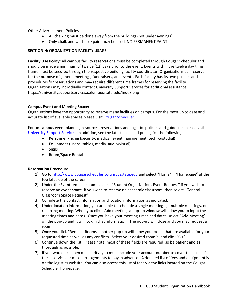Other Advertisement Policies

- All chalking must be done away from the buildings (not under awnings).
- Only chalk and washable paint may be used. NO PERMANENT PAINT.

## **SECTION H: ORGANIZATION FACILITY USAGE**

**Facility Use Policy:** All campus facility reservations must be completed through Cougar Scheduler and should be made a minimum of twelve (12) days prior to the event. Events within the twelve day time frame must be secured through the respective building facility coordinator. Organizations can reserve for the purpose of general meetings, fundraisers, and events. Each facility has its own policies and procedures for reservations and may require different time frames for reserving the facility. Organizations may individually contact University Support Services for additional assistance. https://universitysupportservices.columbusstate.edu/index.php

## **Campus Event and Meeting Space:**

Organizations have the opportunity to reserve many facilities on campus. For the most up to date and accurate list of available spaces please visi[t Cougar Scheduler.](https://www.aaiscloud.com/ColumbusStateU/Default.aspx)

For on-campus event planning resources, reservations and logistics policies and guidelines please visit [University Support Services.](https://universitysupportservices.columbusstate.edu/eventservices.php) In addition, see the latest costs and pricing for the following:

- Personnel Pricing (security, medical, event management, tech, custodial)
- Equipment (linens, tables, media, audio/visual)
- Signs
- Room/Space Rental

### **Reservation Procedure**

- 1) Go to [http://www.cougarscheduler.columbusstate.edu](http://www.cougarscheduler.columbusstate.edu/) and select "Home" > "Homepage" at the top left side of the screen.
- 2) Under the Event request column, select "Student Organizations Event Request" if you wish to reserve an event space. If you wish to reserve an academic classroom, then select "General Classroom Space Request"
- 3) Complete the contact information and location information as indicated.
- 4) Under location information, you are able to schedule a single meeting(s), multiple meetings, or a recurring meeting. When you click "Add meeting" a pop-up window will allow you to input the meeting times and dates. Once you have your meeting times and dates, select "Add Meeting" on the pop-up and it will lock in that information. The pop-up will close and you may request a room.
- 5) Once you click "Request Rooms" another pop-up will show you rooms that are available for your requested time as well as any conflicts. Select your desired room(s) and click "OK".
- 6) Continue down the list. Please note, most of these fields are required, so be patient and as thorough as possible.
- 7) If you would like linen or security, you must include your account number to cover the costs of these services or make arrangements to pay in advance. A detailed list of fees and equipment is on the logistics website. You can also access this list of fees via the links located on the Cougar Scheduler homepage.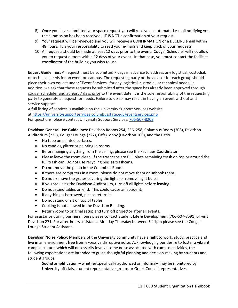- 8) Once you have submitted your space request you will receive an automated e-mail notifying you the submission has been received. IT IS NOT a confirmation of your request.
- 9) Your request will be reviewed and you will receive a CONFIRMATION or a DECLINE email within 48 hours. It is your responsibility to read your e-mails and keep track of your requests.
- 10) All requests should be made at least 12 days prior to the event. Cougar Scheduler will not allow you to request a room within 12 days of your event. In that case, you must contact the facilities coordinator of the building you wish to use.

**Equest Guidelines:** An equest must be submitted 7 days in advance to address any logistical, custodial, or technical needs for an event on campus. The requesting party or the advisor for each group should place their own equest under "Event Services" for any logistical, custodial, or technical needs. In addition, we ask that these requests be submitted after the space has already been approved through cougar scheduler and at least 7 days prior to the event date. It is the sole responsibility of the requesting party to generate an equest for needs. Failure to do so may result in having an event without and service support.

A full listing of services is available on the University Support Services website at <https://universitysupportservices.columbusstate.edu/eventservices.php> For questions, please contact University Support Services, [706-507-8203](tel:706-507-8203)

**Davidson General Use Guidelines:** Davidson Rooms 254, 256, 258, Columbus Room (208), Davidson Auditorium (235), Cougar Lounge (227), Café/Lobby (Davidson 100), and the Patio

- No tape on painted surfaces.
- No candles, glitter or painting in rooms.
- Before hanging anything from the ceiling, please see the Facilities Coordinator.
- Please leave the room clean. If the trashcans are full, place remaining trash on top or around the full trash can. Do not use recycling bins as trashcans.
- Do not move the piano in the Columbus Room.
- If there are computers in a room, please do not move them or unhook them.
- Do not remove the grates covering the lights or remove light bulbs.
- If you are using the Davidson Auditorium, turn off all lights before leaving.
- Do not stand tables on end. This could cause an accident.
- If anything is borrowed, please return it.
- Do not stand or sit on top of tables.
- Cooking is not allowed in the Davidson Building.
- Return room to original setup and turn off projector after all events.

For assistance during business hours please contact Student Life & Development (706-507-8591) or visit Davidson 271. For after-hours assistance Monday-Thursday between 5-11pm please see the Cougar Lounge Student Assistant.

**Davidson Noise Policy:** Members of the University community have a right to work, study, practice and live in an environment free from excessive disruptive noise. Acknowledging our desire to foster a vibrant campus culture, which will necessarily involve some noise associated with campus activities, the following expectations are intended to guide thoughtful planning and decision-making by students and student groups:

**Sound amplification** – whether specifically authorized or informal– may be monitored by University officials, student representative groups or Greek Council representatives.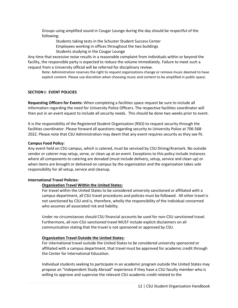Groups using amplified sound in Cougar Lounge during the day should be respectful of the following:

Students taking tests in the Schuster Student Success Center Employees working in offices throughout the two buildings Students studying in the Cougar Lounge

Any time that excessive noise results in a reasonable complaint from individuals within or beyond the facility, the responsible party is expected to reduce the volume immediately. Failure to meet such a request from a University official will be referred for disciplinary review.

Note: Administration reserves the right to request organizations change or remove music deemed to have explicit content. Please use discretion when choosing music and content to be amplified in public space.

## <span id="page-14-0"></span>**SECTION I: EVENT POLICIES**

<span id="page-14-1"></span>**Requesting Officers for Events:** When completing a facilities space request be sure to include all information regarding the need for University Police Officers. The respective facilities coordinator will then put in an event equest to include all security needs. This should be done two weeks prior to event.

It is the responsibility of the Registered Student Organization (RSO) to request security through the facilities coordinator. Please forward all questions regarding security to University Police at 706-568- 2022. Please note that CSU Administration may deem that any event requires security as they see fit.

### **Campus Food Policy:**

Any event held on CSU campus, which is catered, must be serviced by CSU Dining/Aramark. No outside vendor or caterer may setup, serve, or clean up at an event. Exceptions to this policy include instances where all components to catering are donated (must include delivery, setup, service and clean up) or when items are brought or delivered on campus by the organization and the organization takes sole responsibility for all setup, service and cleanup.

### **International Travel Policies:**

## **Organization Travel Within the United States:**

For travel within the United States to be considered university sanctioned or affiliated with a campus department, all CSU travel procedures and policies must be followed. All other travel is not sanctioned by CSU and is, therefore, wholly the responsibility of the individual concerned who assumes all associated risk and liability.

Under no circumstances should CSU financial accounts be used for non-CSU sanctioned travel. Furthermore, all non-CSU sanctioned travel MUST include explicit disclaimers on all communication stating that the travel is not sponsored or approved by CSU.

### **Organization Travel Outside the United States:**

For international travel outside the United States to be considered university sponsored or affiliated with a campus department, that travel must be approved for academic credit through the Center for International Education.

Individual students seeking to participate in an academic program outside the United States may propose an "Independent Study Abroad" experience if they have a CSU faculty member who is willing to approve and supervise the relevant CSU academic credit related to the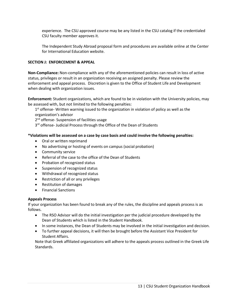experience. The CSU approved course may be any listed in the CSU catalog if the credentialed CSU faculty member approves it.

The Independent Study Abroad proposal form and procedures are available online at the Center for International Education website.

## **SECTION J: ENFORCEMENT & APPEAL**

**Non-Compliance:** Non-compliance with any of the aforementioned policies can result in loss of active status, privileges or result in an organization receiving an assigned penalty. Please review the enforcement and appeal process. Discretion is given to the Office of Student Life and Development when dealing with organization issues.

**Enforcement:** Student organizations, which are found to be in violation with the University policies, may be assessed with, but not limited to the following penalties:

1<sup>st</sup> offense- Written warning issued to the organization in violation of policy as well as the organization's advisor

2<sup>nd</sup> offense- Suspension of facilities usage

3<sup>rd</sup> offense- Judicial Process through the Office of the Dean of Students

## **\*Violations will be assessed on a case by case basis and could involve the following penalties:**

- Oral or written reprimand
- No advertising or hosting of events on campus (social probation)
- Community service
- Referral of the case to the office of the Dean of Students
- Probation of recognized status
- Suspension of recognized status
- Withdrawal of recognized status
- Restriction of all or any privileges
- Restitution of damages
- Financial Sanctions

### **Appeals Process**

If your organization has been found to break any of the rules, the discipline and appeals process is as follows.

- The RSO Advisor will do the initial investigation per the judicial procedure developed by the Dean of Students which is listed in the Student Handbook.
- In some instances, the Dean of Students may be involved in the initial investigation and decision.
- To further appeal decisions, it will then be brought before the Assistant Vice President for Student Affairs.

Note that Greek affiliated organizations will adhere to the appeals process outlined in the Greek Life Standards.